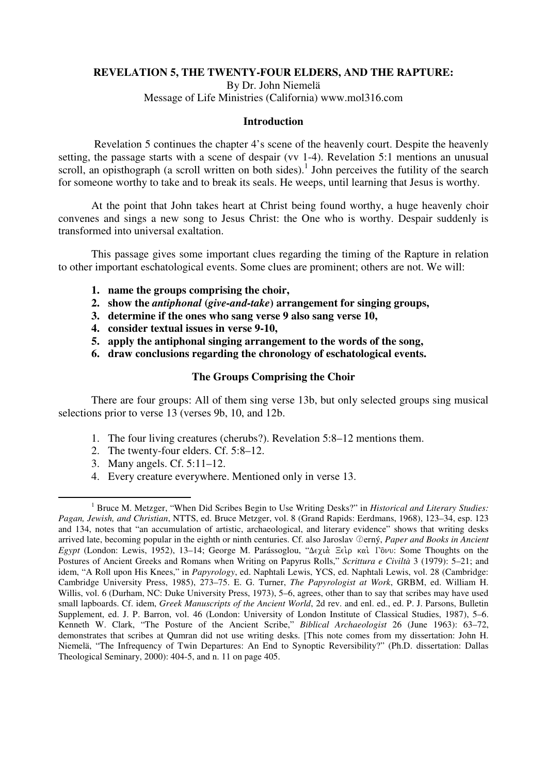# **REVELATION 5, THE TWENTY-FOUR ELDERS, AND THE RAPTURE:**

By Dr. John Niemelä Message of Life Ministries (California) www.mol316.com

## **Introduction**

 Revelation 5 continues the chapter 4's scene of the heavenly court. Despite the heavenly setting, the passage starts with a scene of despair (vv 1-4). Revelation 5:1 mentions an unusual scroll, an opisthograph (a scroll written on both sides).<sup>1</sup> John perceives the futility of the search for someone worthy to take and to break its seals. He weeps, until learning that Jesus is worthy.

At the point that John takes heart at Christ being found worthy, a huge heavenly choir convenes and sings a new song to Jesus Christ: the One who is worthy. Despair suddenly is transformed into universal exaltation.

This passage gives some important clues regarding the timing of the Rapture in relation to other important eschatological events. Some clues are prominent; others are not. We will:

- **1. name the groups comprising the choir,**
- **2. show the** *antiphonal* **(***give-and-take***) arrangement for singing groups,**
- **3. determine if the ones who sang verse 9 also sang verse 10,**
- **4. consider textual issues in verse 9-10,**
- **5. apply the antiphonal singing arrangement to the words of the song,**
- **6. draw conclusions regarding the chronology of eschatological events.**

# **The Groups Comprising the Choir**

There are four groups: All of them sing verse 13b, but only selected groups sing musical selections prior to verse 13 (verses 9b, 10, and 12b.

- 1. The four living creatures (cherubs?). Revelation 5:8–12 mentions them.
- 2. The twenty-four elders. Cf. 5:8–12.
- 3. Many angels. Cf. 5:11–12.
- 4. Every creature everywhere. Mentioned only in verse 13.

 $\overline{a}$ <sup>1</sup> Bruce M. Metzger, "When Did Scribes Begin to Use Writing Desks?" in *Historical and Literary Studies: Pagan, Jewish, and Christian*, NTTS, ed. Bruce Metzger, vol. 8 (Grand Rapids: Eerdmans, 1968), 123–34, esp. 123 and 134, notes that "an accumulation of artistic, archaeological, and literary evidence" shows that writing desks arrived late, becoming popular in the eighth or ninth centuries. Cf. also Jaroslav ©erný, *Paper and Books in Ancient Egypt* (London: Lewis, 1952), 13–14; George M. Parássoglou, "Δεχιά Ξεὶρ καὶ Γὃνυ: Some Thoughts on the Postures of Ancient Greeks and Romans when Writing on Papyrus Rolls," *Scrittura e Civiltà* 3 (1979): 5–21; and idem, "A Roll upon His Knees," in *Papyrology*, ed. Naphtali Lewis, YCS, ed. Naphtali Lewis, vol. 28 (Cambridge: Cambridge University Press, 1985), 273–75. E. G. Turner, *The Papyrologist at Work*, GRBM, ed. William H. Willis, vol. 6 (Durham, NC: Duke University Press, 1973), 5–6, agrees, other than to say that scribes may have used small lapboards. Cf. idem, *Greek Manuscripts of the Ancient World*, 2d rev. and enl. ed., ed. P. J. Parsons, Bulletin Supplement, ed. J. P. Barron, vol. 46 (London: University of London Institute of Classical Studies, 1987), 5–6. Kenneth W. Clark, "The Posture of the Ancient Scribe," *Biblical Archaeologist* 26 (June 1963): 63–72, demonstrates that scribes at Qumran did not use writing desks. [This note comes from my dissertation: John H. Niemelä, "The Infrequency of Twin Departures: An End to Synoptic Reversibility?" (Ph.D. dissertation: Dallas Theological Seminary, 2000): 404-5, and n. 11 on page 405.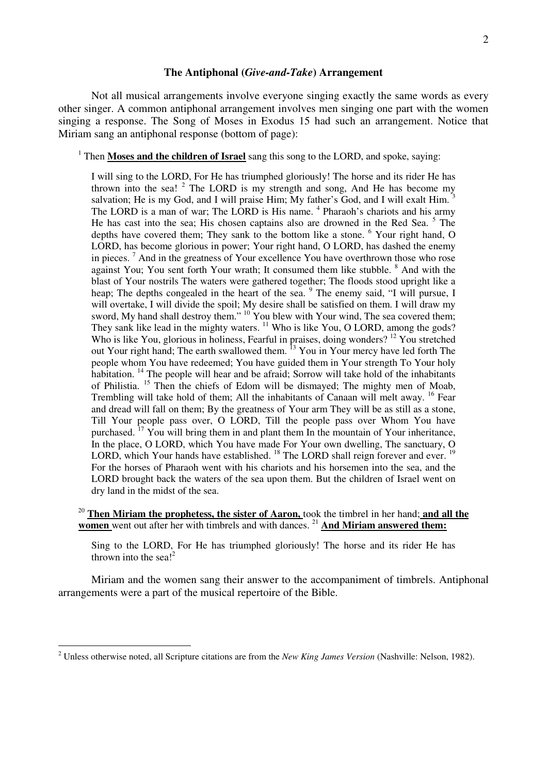#### **The Antiphonal (***Give-and-Take***) Arrangement**

Not all musical arrangements involve everyone singing exactly the same words as every other singer. A common antiphonal arrangement involves men singing one part with the women singing a response. The Song of Moses in Exodus 15 had such an arrangement. Notice that Miriam sang an antiphonal response (bottom of page):

<sup>1</sup> Then **Moses and the children of Israel** sang this song to the LORD, and spoke, saying:

I will sing to the LORD, For He has triumphed gloriously! The horse and its rider He has thrown into the sea!  $2$  The LORD is my strength and song, And He has become my salvation; He is my God, and I will praise Him; My father's God, and I will exalt Him. The LORD is a man of war; The LORD is His name. <sup>4</sup> Pharaoh's chariots and his army He has cast into the sea; His chosen captains also are drowned in the Red Sea.<sup>5</sup> The depths have covered them; They sank to the bottom like a stone. <sup>6</sup> Your right hand, O LORD, has become glorious in power; Your right hand, O LORD, has dashed the enemy in pieces.<sup>7</sup> And in the greatness of Your excellence You have overthrown those who rose against You; You sent forth Your wrath; It consumed them like stubble. <sup>8</sup> And with the blast of Your nostrils The waters were gathered together; The floods stood upright like a heap; The depths congealed in the heart of the sea. <sup>9</sup> The enemy said, "I will pursue, I will overtake, I will divide the spoil; My desire shall be satisfied on them. I will draw my sword, My hand shall destroy them." <sup>10</sup> You blew with Your wind, The sea covered them; They sank like lead in the mighty waters.  $\frac{11}{11}$  Who is like You, O LORD, among the gods? Who is like You, glorious in holiness, Fearful in praises, doing wonders? <sup>12</sup> You stretched out Your right hand; The earth swallowed them. <sup>13</sup> You in Your mercy have led forth The people whom You have redeemed; You have guided them in Your strength To Your holy habitation. <sup>14</sup> The people will hear and be afraid; Sorrow will take hold of the inhabitants of Philistia. <sup>15</sup> Then the chiefs of Edom will be dismayed; The mighty men of Moab, Trembling will take hold of them; All the inhabitants of Canaan will melt away. <sup>16</sup> Fear and dread will fall on them; By the greatness of Your arm They will be as still as a stone, Till Your people pass over, O LORD, Till the people pass over Whom You have purchased.  $^{17}$  You will bring them in and plant them In the mountain of Your inheritance, In the place, O LORD, which You have made For Your own dwelling, The sanctuary, O LORD, which Your hands have established.  $^{18}$  The LORD shall reign forever and ever.  $^{19}$ For the horses of Pharaoh went with his chariots and his horsemen into the sea, and the LORD brought back the waters of the sea upon them. But the children of Israel went on dry land in the midst of the sea.

<sup>20</sup> **Then Miriam the prophetess, the sister of Aaron,** took the timbrel in her hand; **and all the women** went out after her with timbrels and with dances.<sup>21</sup> And Miriam answered them:

Sing to the LORD, For He has triumphed gloriously! The horse and its rider He has thrown into the sea!<sup>2</sup>

Miriam and the women sang their answer to the accompaniment of timbrels. Antiphonal arrangements were a part of the musical repertoire of the Bible.

<sup>2</sup> Unless otherwise noted, all Scripture citations are from the *New King James Version* (Nashville: Nelson, 1982).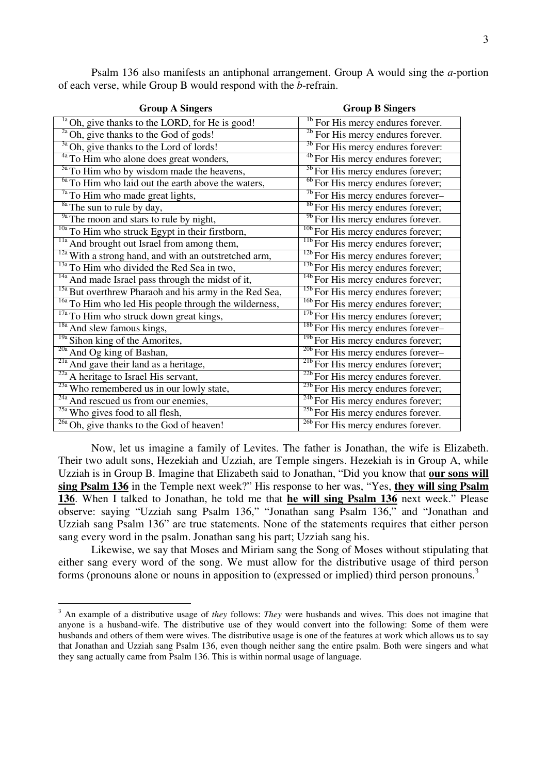| <b>Group A Singers</b>                                            | <b>Group B Singers</b>                             |
|-------------------------------------------------------------------|----------------------------------------------------|
| $\frac{1}{10}$ Oh, give thanks to the LORD, for He is good!       | <sup>16</sup> For His mercy endures forever.       |
| <sup>2a</sup> Oh, give thanks to the God of gods!                 | <sup>2b</sup> For His mercy endures forever.       |
| <sup>3a</sup> Oh, give thanks to the Lord of lords!               | <sup>3b</sup> For His mercy endures forever:       |
| $\sqrt[4a]{10}$ Him who alone does great wonders,                 | <sup>4b</sup> For His mercy endures forever;       |
| <sup>5a</sup> To Him who by wisdom made the heavens,              | <sup>5b</sup> For His mercy endures forever;       |
| $\frac{6a}{10}$ To Him who laid out the earth above the waters,   | <sup>6b</sup> For His mercy endures forever;       |
| <sup>7a</sup> To Him who made great lights,                       | $\sqrt[7b]{\text{For}}$ His mercy endures forever- |
| $\frac{8a}{a}$ The sun to rule by day,                            | <sup>8b</sup> For His mercy endures forever;       |
| $\frac{9a}{2}$ The moon and stars to rule by night,               | <sup>9b</sup> For His mercy endures forever.       |
| $\frac{10a}{10a}$ To Him who struck Egypt in their firstborn,     | <sup>10b</sup> For His mercy endures forever;      |
| <sup>11a</sup> And brought out Israel from among them,            | <sup>116</sup> For His mercy endures forever;      |
| $\frac{12a}{2}$ With a strong hand, and with an outstretched arm, | <sup>12b</sup> For His mercy endures forever;      |
| <sup>13a</sup> To Him who divided the Red Sea in two,             | <sup>13b</sup> For His mercy endures forever;      |
| <sup>14a</sup> And made Israel pass through the midst of it,      | <sup>14b</sup> For His mercy endures forever;      |
| <sup>15a</sup> But overthrew Pharaoh and his army in the Red Sea, | <sup>15b</sup> For His mercy endures forever;      |
| <sup>16a</sup> To Him who led His people through the wilderness,  | <sup>16b</sup> For His mercy endures forever;      |
| <sup>17a</sup> To Him who struck down great kings,                | <sup>17b</sup> For His mercy endures forever;      |
| <sup>18a</sup> And slew famous kings,                             | <sup>18b</sup> For His mercy endures forever-      |
| <sup>19a</sup> Sihon king of the Amorites,                        | <sup>19b</sup> For His mercy endures forever;      |
| <sup>20a</sup> And Og king of Bashan,                             | <sup>20b</sup> For His mercy endures forever-      |
| <sup>21a</sup> And gave their land as a heritage,                 | <sup>216</sup> For His mercy endures forever;      |
| $\frac{22a}{2}$ A heritage to Israel His servant,                 | <sup>22b</sup> For His mercy endures forever.      |
| <sup>23a</sup> Who remembered us in our lowly state,              | <sup>23b</sup> For His mercy endures forever;      |
| <sup>24a</sup> And rescued us from our enemies,                   | $\frac{24b}{24b}$ For His mercy endures forever;   |
| $\frac{25a}{25a}$ Who gives food to all flesh,                    | <sup>25b</sup> For His mercy endures forever.      |
| <sup>26a</sup> Oh, give thanks to the God of heaven!              | <sup>26b</sup> For His mercy endures forever.      |

Psalm 136 also manifests an antiphonal arrangement. Group A would sing the *a*-portion of each verse, while Group B would respond with the *b*-refrain.

Now, let us imagine a family of Levites. The father is Jonathan, the wife is Elizabeth. Their two adult sons, Hezekiah and Uzziah, are Temple singers. Hezekiah is in Group A, while Uzziah is in Group B. Imagine that Elizabeth said to Jonathan, "Did you know that **our sons will sing Psalm 136** in the Temple next week?" His response to her was, "Yes, **they will sing Psalm 136**. When I talked to Jonathan, he told me that **he will sing Psalm 136** next week." Please observe: saying "Uzziah sang Psalm 136," "Jonathan sang Psalm 136," and "Jonathan and Uzziah sang Psalm 136" are true statements. None of the statements requires that either person sang every word in the psalm. Jonathan sang his part; Uzziah sang his.

Likewise, we say that Moses and Miriam sang the Song of Moses without stipulating that either sang every word of the song. We must allow for the distributive usage of third person forms (pronouns alone or nouns in apposition to (expressed or implied) third person pronouns.<sup>3</sup>

<sup>3</sup> An example of a distributive usage of *they* follows: *They* were husbands and wives. This does not imagine that anyone is a husband-wife. The distributive use of they would convert into the following: Some of them were husbands and others of them were wives. The distributive usage is one of the features at work which allows us to say that Jonathan and Uzziah sang Psalm 136, even though neither sang the entire psalm. Both were singers and what they sang actually came from Psalm 136. This is within normal usage of language.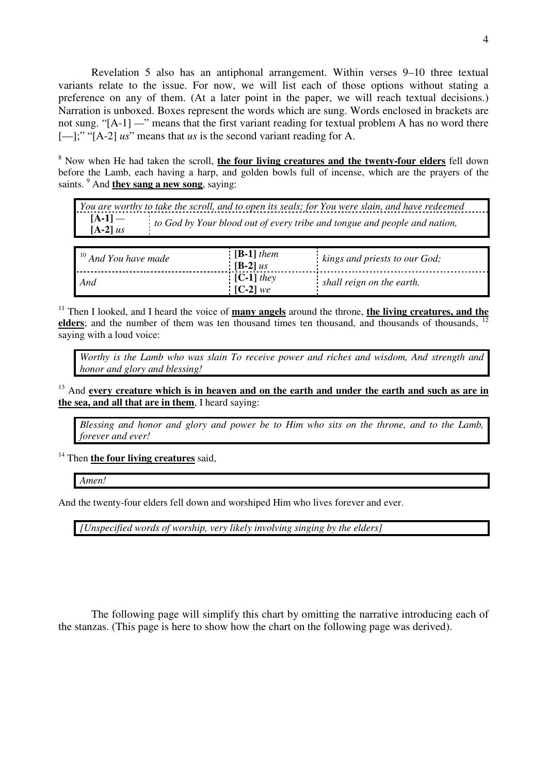Revelation 5 also has an antiphonal arrangement. Within verses 9–10 three textual variants relate to the issue. For now, we will list each of those options without stating a preference on any of them. (At a later point in the paper, we will reach textual decisions.) Narration is unboxed. Boxes represent the words which are sung. Words enclosed in brackets are not sung. "[A-1] *—*" means that the first variant reading for textual problem A has no word there [—];" "[A-2] *us*" means that *us* is the second variant reading for A.

8 Now when He had taken the scroll, **the four living creatures and the twenty-four elders** fell down before the Lamb, each having a harp, and golden bowls full of incense, which are the prayers of the saints. <sup>9</sup> And **they sang a new song**, saying:

| You are worthy to take the scroll, and to open its seals; for You were slain, and have redeemed |                                                                           |  |
|-------------------------------------------------------------------------------------------------|---------------------------------------------------------------------------|--|
| $[A-1]$ —<br>$[A-2]$ us                                                                         | to God by Your blood out of every tribe and tongue and people and nation, |  |
|                                                                                                 |                                                                           |  |
| $10$ And You have made                                                                          | $[B-1]$ them<br>$k$ ings and priests to our $God$                         |  |

| $\frac{10}{3}$ And You have made | $[B-1]$ them<br>$[B-2]$ us | kings and priests to our God; |
|----------------------------------|----------------------------|-------------------------------|
| And                              | $[C-1]$ they<br>$[C-2]$ we | shall reign on the earth.     |

<sup>11</sup> Then I looked, and I heard the voice of **many angels** around the throne, **the living creatures, and the elders**; and the number of them was ten thousand times ten thousand, and thousands of thousands, saying with a loud voice:

*Worthy is the Lamb who was slain To receive power and riches and wisdom, And strength and honor and glory and blessing!*

<sup>13</sup> And every creature which is in heaven and on the earth and under the earth and such as are in **the sea, and all that are in them**, I heard saying:

*Blessing and honor and glory and power be to Him who sits on the throne, and to the Lamb, forever and ever!*

<sup>14</sup> Then **the four living creatures** said,

*Amen!*

And the twenty-four elders fell down and worshiped Him who lives forever and ever.

*[Unspecified words of worship, very likely involving singing by the elders]*

The following page will simplify this chart by omitting the narrative introducing each of the stanzas. (This page is here to show how the chart on the following page was derived).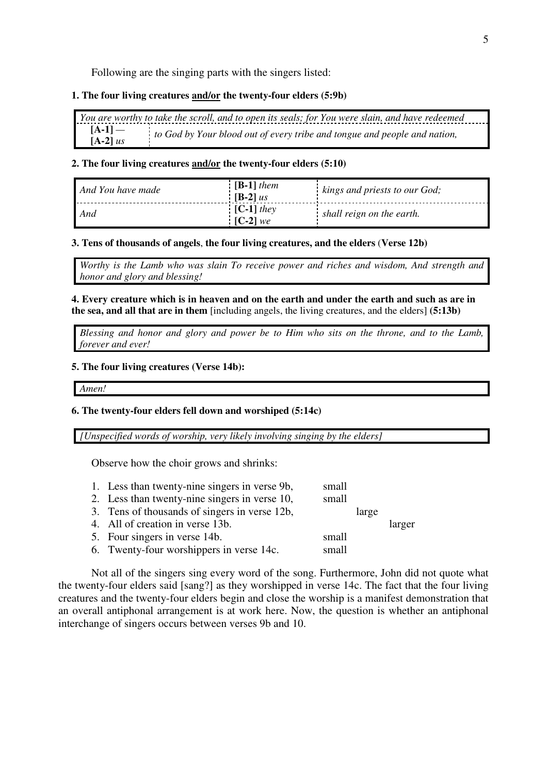Following are the singing parts with the singers listed:

## **1. The four living creatures and/or the twenty-four elders (5:9b)**

|            | You are worthy to take the scroll, and to open its seals; for You were slain, and have redeemed |
|------------|-------------------------------------------------------------------------------------------------|
| $[A-1]$ —  | to God by Your blood out of every tribe and tongue and people and nation,                       |
| $[A-2]$ us |                                                                                                 |

#### **2. The four living creatures and/or the twenty-four elders (5:10)**

| And You have made | $[B-1]$ them<br>$[B-2]$ us | kings and priests to our God; |
|-------------------|----------------------------|-------------------------------|
| And               | $[C-1]$ they<br>$[C-2]$ we | shall reign on the earth.     |

#### **3. Tens of thousands of angels**, **the four living creatures, and the elders** (**Verse 12b)**

*Worthy is the Lamb who was slain To receive power and riches and wisdom, And strength and honor and glory and blessing!*

**4. Every creature which is in heaven and on the earth and under the earth and such as are in the sea, and all that are in them** [including angels, the living creatures, and the elders] **(5:13b)**

*Blessing and honor and glory and power be to Him who sits on the throne, and to the Lamb, forever and ever!*

#### **5. The four living creatures (Verse 14b):**

*Amen!*

#### **6. The twenty-four elders fell down and worshiped (5:14c)**

*[Unspecified words of worship, very likely involving singing by the elders]*

Observe how the choir grows and shrinks:

- 1. Less than twenty-nine singers in verse 9b, small 2. Less than twenty-nine singers in verse 10, small
- 3. Tens of thousands of singers in verse 12b, large
- 4. All of creation in verse 13b. larger 5. Four singers in verse 14b. small 6. Twenty-four worshippers in verse 14c. small

Not all of the singers sing every word of the song. Furthermore, John did not quote what the twenty-four elders said [sang?] as they worshipped in verse 14c. The fact that the four living creatures and the twenty-four elders begin and close the worship is a manifest demonstration that an overall antiphonal arrangement is at work here. Now, the question is whether an antiphonal interchange of singers occurs between verses 9b and 10.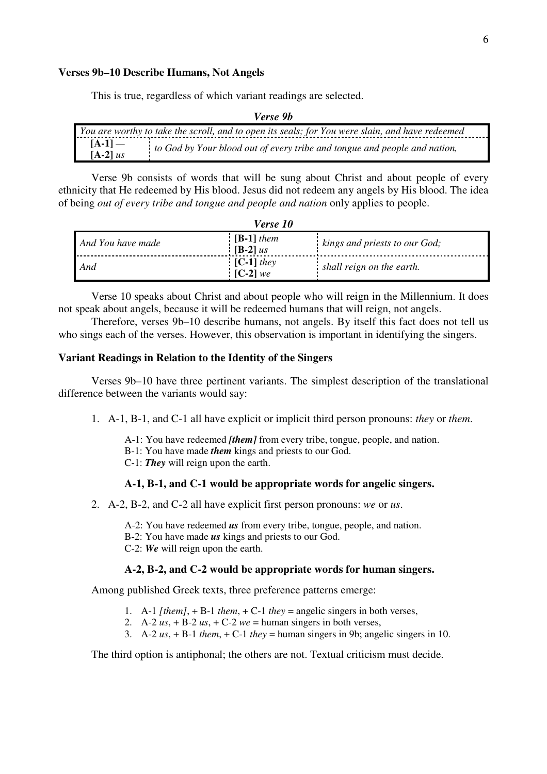#### **Verses 9b–10 Describe Humans, Not Angels**

This is true, regardless of which variant readings are selected.

| <i>veise 70</i>                                                                                 |                                                                           |  |
|-------------------------------------------------------------------------------------------------|---------------------------------------------------------------------------|--|
| You are worthy to take the scroll, and to open its seals; for You were slain, and have redeemed |                                                                           |  |
| $[A-1]$ —<br>$[A-2]$ us                                                                         | to God by Your blood out of every tribe and tongue and people and nation, |  |

*Verse 9b* 

Verse 9b consists of words that will be sung about Christ and about people of every ethnicity that He redeemed by His blood. Jesus did not redeem any angels by His blood. The idea of being *out of every tribe and tongue and people and nation* only applies to people.

*Verse 10* 

| <i>verse 10</i>   |                            |                               |
|-------------------|----------------------------|-------------------------------|
| And You have made | $[B-1]$ them<br>$[B-2]$ us | kings and priests to our God; |
| And               | $[C-1]$ they<br>$[C-2]$ we | shall reign on the earth.     |

Verse 10 speaks about Christ and about people who will reign in the Millennium. It does not speak about angels, because it will be redeemed humans that will reign, not angels.

Therefore, verses 9b–10 describe humans, not angels. By itself this fact does not tell us who sings each of the verses. However, this observation is important in identifying the singers.

# **Variant Readings in Relation to the Identity of the Singers**

Verses 9b–10 have three pertinent variants. The simplest description of the translational difference between the variants would say:

1. A-1, B-1, and C-1 all have explicit or implicit third person pronouns: *they* or *them*.

A-1: You have redeemed *[them]* from every tribe, tongue, people, and nation. B-1: You have made *them* kings and priests to our God. C-1: *They* will reign upon the earth.

## **A-1, B-1, and C-1 would be appropriate words for angelic singers.**

2. A-2, B-2, and C-2 all have explicit first person pronouns: *we* or *us*.

A-2: You have redeemed *us* from every tribe, tongue, people, and nation.

- B-2: You have made *us* kings and priests to our God.
- C-2: *We* will reign upon the earth.

## **A-2, B-2, and C-2 would be appropriate words for human singers.**

Among published Greek texts, three preference patterns emerge:

- 1. A-1 *[them]*, + B-1 *them*, + C-1 *they* = angelic singers in both verses,
- 2. A-2  $us$ , + B-2  $us$ , + C-2  $we$  = human singers in both verses,
- 3. A-2 *us*, + B-1 *them*, + C-1 *they* = human singers in 9b; angelic singers in 10.

The third option is antiphonal; the others are not. Textual criticism must decide.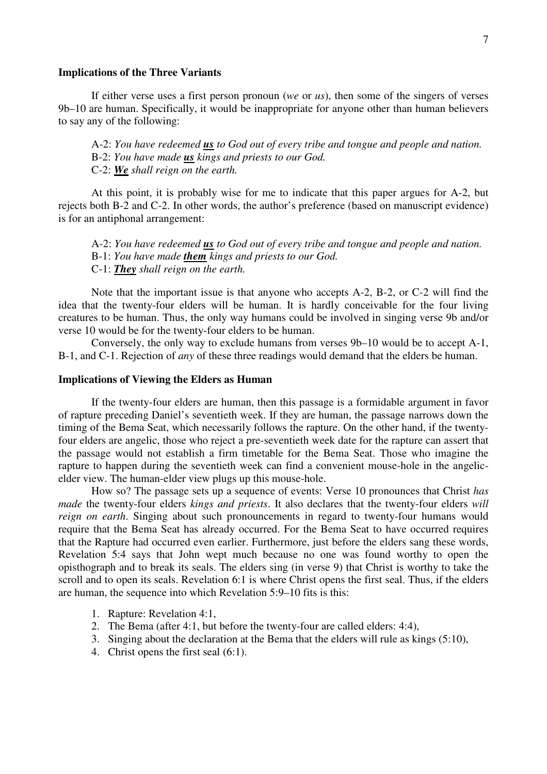#### **Implications of the Three Variants**

If either verse uses a first person pronoun (*we* or *us*), then some of the singers of verses 9b–10 are human. Specifically, it would be inappropriate for anyone other than human believers to say any of the following:

A-2: *You have redeemed us to God out of every tribe and tongue and people and nation.* B-2: *You have made us kings and priests to our God.*

C-2: *We shall reign on the earth.*

At this point, it is probably wise for me to indicate that this paper argues for A-2, but rejects both B-2 and C-2. In other words, the author's preference (based on manuscript evidence) is for an antiphonal arrangement:

A-2: *You have redeemed us to God out of every tribe and tongue and people and nation.* B-1: *You have made them kings and priests to our God.* C-1: *They shall reign on the earth.*

Note that the important issue is that anyone who accepts A-2, B-2, or C-2 will find the idea that the twenty-four elders will be human. It is hardly conceivable for the four living creatures to be human. Thus, the only way humans could be involved in singing verse 9b and/or verse 10 would be for the twenty-four elders to be human.

Conversely, the only way to exclude humans from verses 9b–10 would be to accept A-1, B-1, and C-1. Rejection of *any* of these three readings would demand that the elders be human.

## **Implications of Viewing the Elders as Human**

If the twenty-four elders are human, then this passage is a formidable argument in favor of rapture preceding Daniel's seventieth week. If they are human, the passage narrows down the timing of the Bema Seat, which necessarily follows the rapture. On the other hand, if the twentyfour elders are angelic, those who reject a pre-seventieth week date for the rapture can assert that the passage would not establish a firm timetable for the Bema Seat. Those who imagine the rapture to happen during the seventieth week can find a convenient mouse-hole in the angelicelder view. The human-elder view plugs up this mouse-hole.

How so? The passage sets up a sequence of events: Verse 10 pronounces that Christ *has made* the twenty-four elders *kings and priests*. It also declares that the twenty-four elders *will reign on earth*. Singing about such pronouncements in regard to twenty-four humans would require that the Bema Seat has already occurred. For the Bema Seat to have occurred requires that the Rapture had occurred even earlier. Furthermore, just before the elders sang these words, Revelation 5:4 says that John wept much because no one was found worthy to open the opisthograph and to break its seals. The elders sing (in verse 9) that Christ is worthy to take the scroll and to open its seals. Revelation 6:1 is where Christ opens the first seal. Thus, if the elders are human, the sequence into which Revelation 5:9–10 fits is this:

- 1. Rapture: Revelation 4:1,
- 2. The Bema (after 4:1, but before the twenty-four are called elders: 4:4),
- 3. Singing about the declaration at the Bema that the elders will rule as kings (5:10),
- 4. Christ opens the first seal (6:1).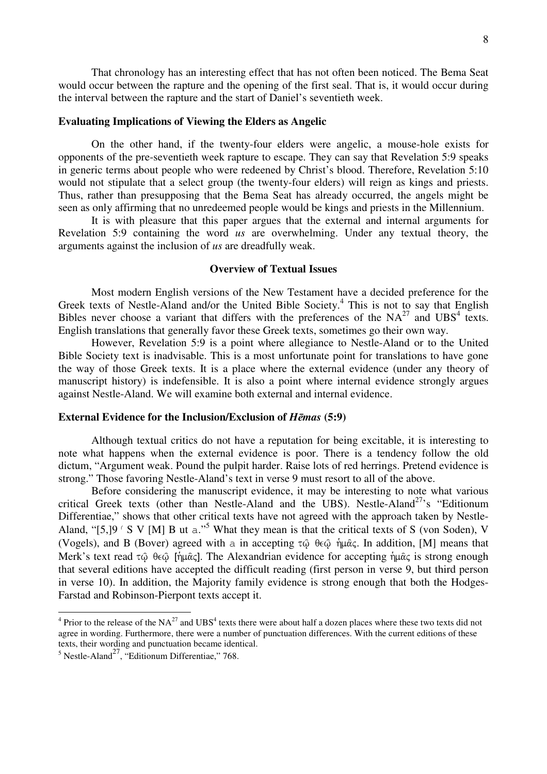That chronology has an interesting effect that has not often been noticed. The Bema Seat would occur between the rapture and the opening of the first seal. That is, it would occur during the interval between the rapture and the start of Daniel's seventieth week.

## **Evaluating Implications of Viewing the Elders as Angelic**

On the other hand, if the twenty-four elders were angelic, a mouse-hole exists for opponents of the pre-seventieth week rapture to escape. They can say that Revelation 5:9 speaks in generic terms about people who were redeened by Christ's blood. Therefore, Revelation 5:10 would not stipulate that a select group (the twenty-four elders) will reign as kings and priests. Thus, rather than presupposing that the Bema Seat has already occurred, the angels might be seen as only affirming that no unredeemed people would be kings and priests in the Millennium.

It is with pleasure that this paper argues that the external and internal arguments for Revelation 5:9 containing the word *us* are overwhelming. Under any textual theory, the arguments against the inclusion of *us* are dreadfully weak.

## **Overview of Textual Issues**

Most modern English versions of the New Testament have a decided preference for the Greek texts of Nestle-Aland and/or the United Bible Society.<sup>4</sup> This is not to say that English Bibles never choose a variant that differs with the preferences of the  $NA^{27}$  and  $UBS<sup>4</sup>$  texts. English translations that generally favor these Greek texts, sometimes go their own way.

However, Revelation 5:9 is a point where allegiance to Nestle-Aland or to the United Bible Society text is inadvisable. This is a most unfortunate point for translations to have gone the way of those Greek texts. It is a place where the external evidence (under any theory of manuscript history) is indefensible. It is also a point where internal evidence strongly argues against Nestle-Aland. We will examine both external and internal evidence.

## **External Evidence for the Inclusion/Exclusion of** *Hēmas* **(5:9)**

Although textual critics do not have a reputation for being excitable, it is interesting to note what happens when the external evidence is poor. There is a tendency follow the old dictum, "Argument weak. Pound the pulpit harder. Raise lots of red herrings. Pretend evidence is strong." Those favoring Nestle-Aland's text in verse 9 must resort to all of the above.

Before considering the manuscript evidence, it may be interesting to note what various critical Greek texts (other than Nestle-Aland and the UBS). Nestle-Aland<sup>27</sup>'s "Editionum Differentiae," shows that other critical texts have not agreed with the approach taken by Nestle-Aland, "[5,]9  $\prime$  S V [M] B ut a."<sup>5</sup> What they mean is that the critical texts of S (von Soden), V (Vogels), and B (Bover) agreed with a in accepting  $\tau\hat{\omega}$   $\theta \in \hat{\omega}$  ήμας. In addition, [M] means that Merk's text read  $\tau \hat{\omega}$   $\theta \in \hat{\omega}$  [ήμ $\hat{\alpha}$ ς]. The Alexandrian evidence for accepting ήμ $\hat{\alpha}$ ς is strong enough that several editions have accepted the difficult reading (first person in verse 9, but third person in verse 10). In addition, the Majority family evidence is strong enough that both the Hodges-Farstad and Robinson-Pierpont texts accept it.

 $^{4}$  Prior to the release of the NA<sup>27</sup> and UBS<sup>4</sup> texts there were about half a dozen places where these two texts did not agree in wording. Furthermore, there were a number of punctuation differences. With the current editions of these texts, their wording and punctuation became identical.

 $<sup>5</sup>$  Nestle-Aland<sup>27</sup>, "Editionum Differentiae," 768.</sup>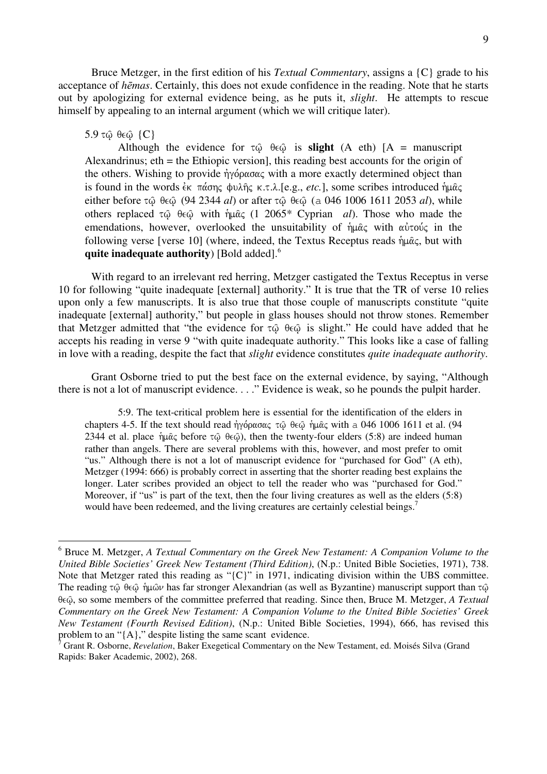Bruce Metzger, in the first edition of his *Textual Commentary*, assigns a {C} grade to his acceptance of *h*ē*mas*. Certainly, this does not exude confidence in the reading. Note that he starts out by apologizing for external evidence being, as he puts it, *slight*. He attempts to rescue himself by appealing to an internal argument (which we will critique later).

#### $5.9$  τ $\hat{\omega}$  θε $\hat{\omega}$  {C}

Although the evidence for  $\tau \hat{\omega}$   $\theta \in \hat{\omega}$  is **slight** (A eth) [A = manuscript Alexandrinus; eth = the Ethiopic version], this reading best accounts for the origin of the others. Wishing to provide  $\eta \gamma \acute{\varphi} \rho \alpha \sigma \alpha \varsigma$  with a more exactly determined object than is found in the words  $\epsilon_K$   $\pi \alpha \sigma \eta \varsigma$   $\psi \lambda \eta \varsigma$   $\kappa$ .*t.* $\lambda$ . [e.g., *etc.*], some scribes introduced  $\eta \mu \alpha \varsigma$ either before  $\tau$   $\hat{\omega}$   $\theta \in \hat{\omega}$  (94 2344 *al*) or after  $\tau$   $\hat{\omega}$   $\theta \in \hat{\omega}$  (a 046 1006 1611 2053 *al*), while others replaced  $\tau \hat{\omega}$   $\theta \in \hat{\omega}$  with  $\hat{\eta} \mu \hat{\alpha} \in (1 \ 2065^* \text{ Cyprian } al)$ . Those who made the emendations, however, overlooked the unsuitability of  $\hat{\eta} \mu \hat{\alpha} \zeta$  with  $\alpha \hat{\nu} \tau \omega \hat{\nu} \zeta$  in the following verse [verse 10] (where, indeed, the Textus Receptus reads  $\hat{\eta} \mu \hat{\alpha} \zeta$ , but with **quite inadequate authority**) [Bold added].<sup>6</sup>

With regard to an irrelevant red herring, Metzger castigated the Textus Receptus in verse 10 for following "quite inadequate [external] authority." It is true that the TR of verse 10 relies upon only a few manuscripts. It is also true that those couple of manuscripts constitute "quite inadequate [external] authority," but people in glass houses should not throw stones. Remember that Metzger admitted that "the evidence for  $\tau\hat{\varphi}$   $\theta \in \hat{\varphi}$  is slight." He could have added that he accepts his reading in verse 9 "with quite inadequate authority." This looks like a case of falling in love with a reading, despite the fact that *slight* evidence constitutes *quite inadequate authority*.

Grant Osborne tried to put the best face on the external evidence, by saying, "Although there is not a lot of manuscript evidence. . . ." Evidence is weak, so he pounds the pulpit harder.

5:9. The text-critical problem here is essential for the identification of the elders in chapters 4-5. If the text should read  $\dot{\eta}$ γόρασας τ $\hat{\omega}$  θε $\hat{\omega}$  ήμας with a 046 1006 1611 et al. (94 2344 et al. place  $\hat{\eta}$ u $\hat{\alpha}$  before  $\tau\hat{\omega}$   $\theta \in \hat{\omega}$ ), then the twenty-four elders (5:8) are indeed human rather than angels. There are several problems with this, however, and most prefer to omit "us." Although there is not a lot of manuscript evidence for "purchased for God" (A eth), Metzger (1994: 666) is probably correct in asserting that the shorter reading best explains the longer. Later scribes provided an object to tell the reader who was "purchased for God." Moreover, if "us" is part of the text, then the four living creatures as well as the elders (5:8) would have been redeemed, and the living creatures are certainly celestial beings.<sup>7</sup>

 6 Bruce M. Metzger, *A Textual Commentary on the Greek New Testament: A Companion Volume to the United Bible Societies' Greek New Testament (Third Edition)*, (N.p.: United Bible Societies, 1971), 738. Note that Metzger rated this reading as " ${C}$ " in 1971, indicating division within the UBS committee. The reading  $\tau\hat{\omega}$   $\theta \in \hat{\omega}$  ήμ $\hat{\omega} \nu$  has far stronger Alexandrian (as well as Byzantine) manuscript support than  $\tau \hat{\omega}$ θεώ, so some members of the committee preferred that reading. Since then, Bruce M. Metzger, *A Textual Commentary on the Greek New Testament: A Companion Volume to the United Bible Societies' Greek New Testament (Fourth Revised Edition)*, (N.p.: United Bible Societies, 1994), 666, has revised this problem to an "{A}," despite listing the same scant evidence.

<sup>7</sup> Grant R. Osborne, *Revelation*, Baker Exegetical Commentary on the New Testament, ed. Moisés Silva (Grand Rapids: Baker Academic, 2002), 268.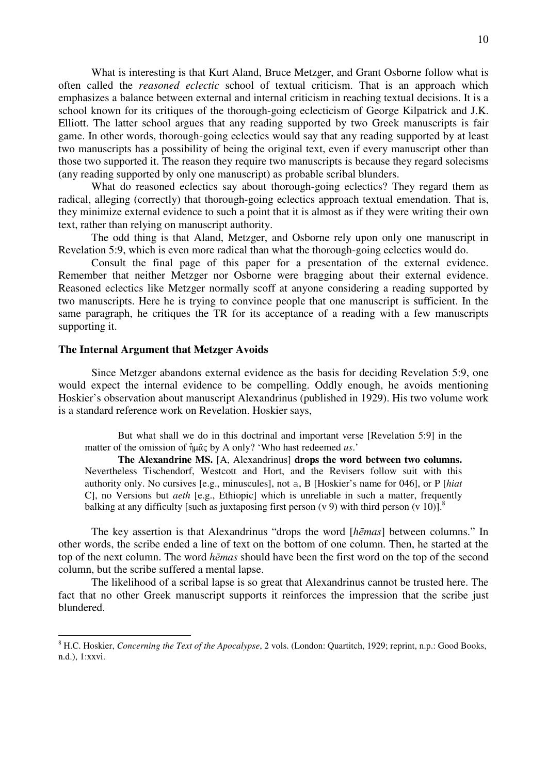What is interesting is that Kurt Aland, Bruce Metzger, and Grant Osborne follow what is often called the *reasoned eclectic* school of textual criticism. That is an approach which emphasizes a balance between external and internal criticism in reaching textual decisions. It is a school known for its critiques of the thorough-going eclecticism of George Kilpatrick and J.K. Elliott. The latter school argues that any reading supported by two Greek manuscripts is fair game. In other words, thorough-going eclectics would say that any reading supported by at least two manuscripts has a possibility of being the original text, even if every manuscript other than those two supported it. The reason they require two manuscripts is because they regard solecisms (any reading supported by only one manuscript) as probable scribal blunders.

What do reasoned eclectics say about thorough-going eclectics? They regard them as radical, alleging (correctly) that thorough-going eclectics approach textual emendation. That is, they minimize external evidence to such a point that it is almost as if they were writing their own text, rather than relying on manuscript authority.

The odd thing is that Aland, Metzger, and Osborne rely upon only one manuscript in Revelation 5:9, which is even more radical than what the thorough-going eclectics would do.

Consult the final page of this paper for a presentation of the external evidence. Remember that neither Metzger nor Osborne were bragging about their external evidence. Reasoned eclectics like Metzger normally scoff at anyone considering a reading supported by two manuscripts. Here he is trying to convince people that one manuscript is sufficient. In the same paragraph, he critiques the TR for its acceptance of a reading with a few manuscripts supporting it.

#### **The Internal Argument that Metzger Avoids**

 $\overline{a}$ 

Since Metzger abandons external evidence as the basis for deciding Revelation 5:9, one would expect the internal evidence to be compelling. Oddly enough, he avoids mentioning Hoskier's observation about manuscript Alexandrinus (published in 1929). His two volume work is a standard reference work on Revelation. Hoskier says,

But what shall we do in this doctrinal and important verse [Revelation 5:9] in the matter of the omission of  $\hat{\eta} \mu \hat{\alpha} \zeta$  by A only? 'Who hast redeemed *us*.'

**The Alexandrine MS.** [A, Alexandrinus] **drops the word between two columns.** Nevertheless Tischendorf, Westcott and Hort, and the Revisers follow suit with this authority only. No cursives [e.g., minuscules], not a, B [Hoskier's name for 046], or P [*hiat* C], no Versions but *aeth* [e.g., Ethiopic] which is unreliable in such a matter, frequently balking at any difficulty [such as juxtaposing first person (v 9) with third person (v 10)].<sup>8</sup>

The key assertion is that Alexandrinus "drops the word [*h*ē*mas*] between columns." In other words, the scribe ended a line of text on the bottom of one column. Then, he started at the top of the next column. The word *h*ē*mas* should have been the first word on the top of the second column, but the scribe suffered a mental lapse.

The likelihood of a scribal lapse is so great that Alexandrinus cannot be trusted here. The fact that no other Greek manuscript supports it reinforces the impression that the scribe just blundered.

<sup>8</sup> H.C. Hoskier, *Concerning the Text of the Apocalypse*, 2 vols. (London: Quartitch, 1929; reprint, n.p.: Good Books, n.d.), 1:xxvi.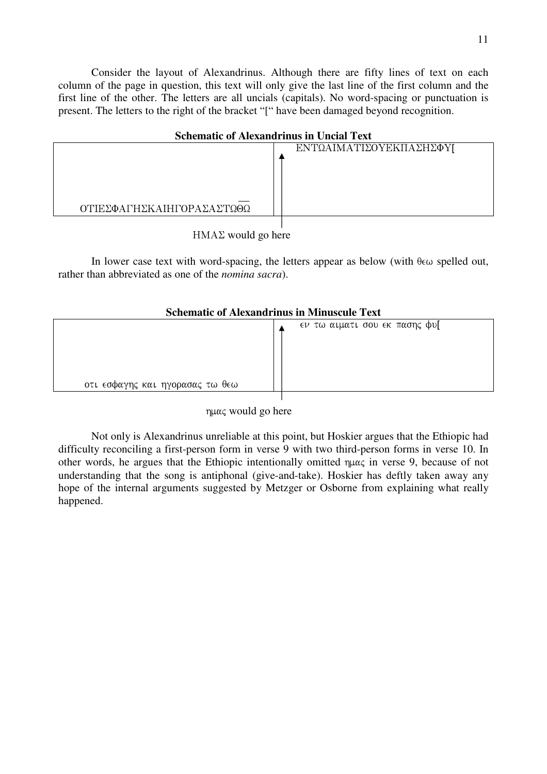Consider the layout of Alexandrinus. Although there are fifty lines of text on each column of the page in question, this text will only give the last line of the first column and the first line of the other. The letters are all uncials (capitals). No word-spacing or punctuation is present. The letters to the right of the bracket "[" have been damaged beyond recognition.

| <b>Schematic of Alexandrinus in Uncial Text</b> |                         |
|-------------------------------------------------|-------------------------|
|                                                 | ΕΝΤΩΑΙΜΑΤΙΣΟΥΕΚΠΑΣΗΣΦΥΓ |
| ΟΤΙΕΣΦΑΓΗΣΚΑΙΗΓΟΡΑΣΑΣΤΩΘΩ                       |                         |
|                                                 |                         |

HMAΣ would go here

In lower case text with word-spacing, the letters appear as below (with  $\theta \in \omega$  spelled out, rather than abbreviated as one of the *nomina sacra*).

# **Schematic of Alexandrinus in Minuscule Text**

| οτι εσφαγης και ηγορασας τω θεω | εν τω αιματι σου εκ πασης φυ[ |
|---------------------------------|-------------------------------|
|                                 |                               |

nuας would go here

Not only is Alexandrinus unreliable at this point, but Hoskier argues that the Ethiopic had difficulty reconciling a first-person form in verse 9 with two third-person forms in verse 10. In other words, he argues that the Ethiopic intentionally omitted  $\eta \mu \alpha \zeta$  in verse 9, because of not understanding that the song is antiphonal (give-and-take). Hoskier has deftly taken away any hope of the internal arguments suggested by Metzger or Osborne from explaining what really happened.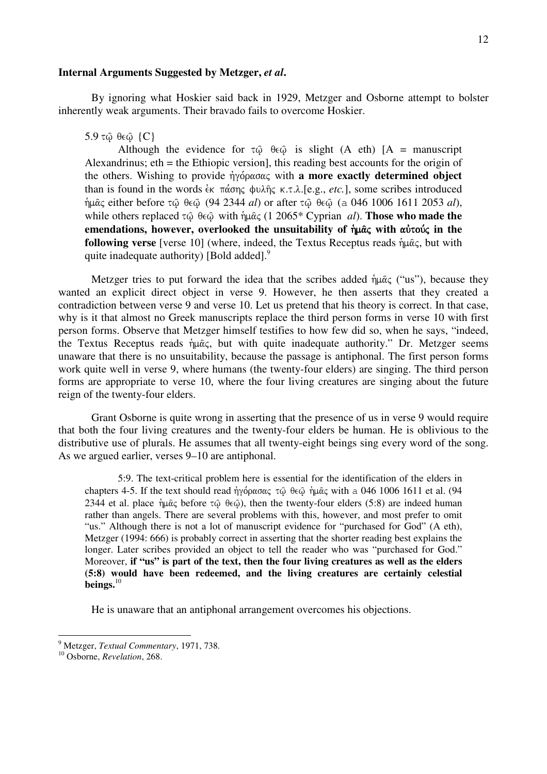### **Internal Arguments Suggested by Metzger,** *et al***.**

By ignoring what Hoskier said back in 1929, Metzger and Osborne attempt to bolster inherently weak arguments. Their bravado fails to overcome Hoskier.

#### $5.9$  τω θεω  $\{C\}$

Although the evidence for  $\tau \hat{\omega}$   $\theta \in \hat{\omega}$  is slight (A eth) [A = manuscript Alexandrinus; eth = the Ethiopic version], this reading best accounts for the origin of the others. Wishing to provide  $\eta \gamma \acute{o} \rho \alpha \sigma \alpha \varsigma$  with **a more exactly determined object** than is found in the words  $\epsilon_K$   $\pi \alpha \sigma \eta \varsigma$   $\psi \lambda \hat{\eta} \varsigma$   $\kappa \tau \lambda$ . [e.g., *etc.*], some scribes introduced ημας either before τω θεω (94 2344 *al*) or after τω θεω (a 046 1006 1611 2053 *al*), while others replaced  $\tau$  $\hat{\omega}$   $\theta \in \hat{\omega}$  with  $\eta \mu \hat{\alpha} \in (1 \ 2065^* \text{ Cyprian } al)$ . **Those who made the** emendations, however, overlooked the unsuitability of  $\hat{\theta}$  with  $\alpha \hat{\theta}$  with  $\alpha \hat{\theta}$  in the **following verse** [verse 10] (where, indeed, the Textus Receptus reads  $\hat{\eta} \mu \hat{\alpha}$ c, but with quite inadequate authority) [Bold added]. $9$ 

Metzger tries to put forward the idea that the scribes added  $\hat{\eta} \mu \hat{\alpha} \zeta$  ("us"), because they wanted an explicit direct object in verse 9. However, he then asserts that they created a contradiction between verse 9 and verse 10. Let us pretend that his theory is correct. In that case, why is it that almost no Greek manuscripts replace the third person forms in verse 10 with first person forms. Observe that Metzger himself testifies to how few did so, when he says, "indeed, the Textus Receptus reads  $\hat{\eta} \mu \hat{\alpha} \zeta$ , but with quite inadequate authority." Dr. Metzger seems unaware that there is no unsuitability, because the passage is antiphonal. The first person forms work quite well in verse 9, where humans (the twenty-four elders) are singing. The third person forms are appropriate to verse 10, where the four living creatures are singing about the future reign of the twenty-four elders.

Grant Osborne is quite wrong in asserting that the presence of us in verse 9 would require that both the four living creatures and the twenty-four elders be human. He is oblivious to the distributive use of plurals. He assumes that all twenty-eight beings sing every word of the song. As we argued earlier, verses 9–10 are antiphonal.

5:9. The text-critical problem here is essential for the identification of the elders in chapters 4-5. If the text should read  $\eta y \acute{\phi} \rho \alpha \sigma \alpha \zeta \tau \hat{\phi} \theta \epsilon \hat{\phi} \eta \mu \hat{\alpha} \zeta$  with a 046 1006 1611 et al. (94 2344 et al. place nume before  $\tau\hat{\omega}$   $\theta \in \hat{\omega}$ ), then the twenty-four elders (5:8) are indeed human rather than angels. There are several problems with this, however, and most prefer to omit "us." Although there is not a lot of manuscript evidence for "purchased for God" (A eth), Metzger (1994: 666) is probably correct in asserting that the shorter reading best explains the longer. Later scribes provided an object to tell the reader who was "purchased for God." Moreover, **if "us" is part of the text, then the four living creatures as well as the elders (5:8) would have been redeemed, and the living creatures are certainly celestial beings.**<sup>10</sup>

He is unaware that an antiphonal arrangement overcomes his objections.

<sup>9</sup> Metzger, *Textual Commentary*, 1971, 738.

<sup>10</sup> Osborne, *Revelation*, 268.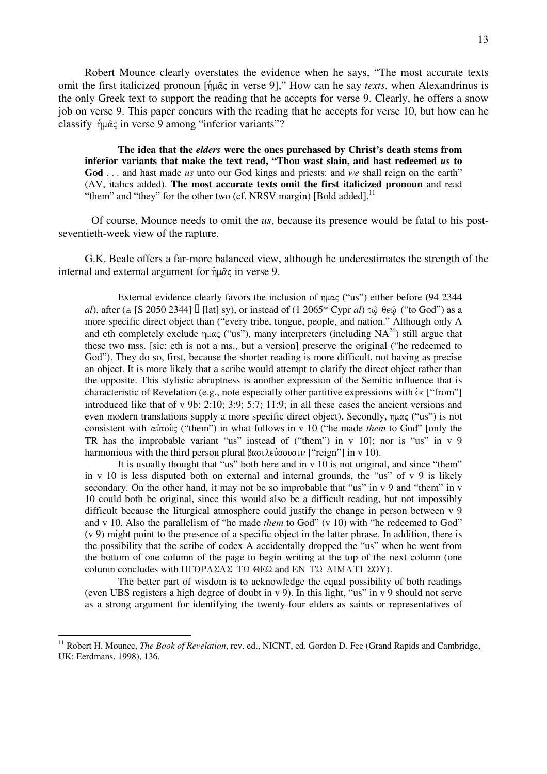Robert Mounce clearly overstates the evidence when he says, "The most accurate texts omit the first italicized pronoun [ $\hat{\eta} \mu \hat{\alpha} \zeta$  in verse 9]," How can he say *texts*, when Alexandrinus is the only Greek text to support the reading that he accepts for verse 9. Clearly, he offers a snow job on verse 9. This paper concurs with the reading that he accepts for verse 10, but how can he classify  $\hat{\eta} \mu \hat{\alpha} \varsigma$  in verse 9 among "inferior variants"?

**The idea that the** *elders* **were the ones purchased by Christ's death stems from inferior variants that make the text read, "Thou wast slain, and hast redeemed** *us* **to God** . . . and hast made *us* unto our God kings and priests: and *we* shall reign on the earth" (AV, italics added). **The most accurate texts omit the first italicized pronoun** and read "them" and "they" for the other two (cf. NRSV margin) [Bold added].<sup>11</sup>

Of course, Mounce needs to omit the *us*, because its presence would be fatal to his postseventieth-week view of the rapture.

G.K. Beale offers a far-more balanced view, although he underestimates the strength of the internal and external argument for  $\hat{\eta} \mu \hat{\alpha} \zeta$  in verse 9.

External evidence clearly favors the inclusion of  $\eta \mu \alpha \zeta$  ("us") either before (94 2344 *al*), after (a [S 2050 2344] 3 [lat] sy), or instead of (1 2065\* Cypr *al*)  $\tau$   $\hat{\omega}$   $\theta \epsilon \hat{\omega}$  ("to God") as a more specific direct object than ("every tribe, tongue, people, and nation." Although only A and eth completely exclude  $\eta \mu \alpha \zeta$  ("us"), many interpreters (including NA<sup>26</sup>) still argue that these two mss. [sic: eth is not a ms., but a version] preserve the original ("he redeemed to God"). They do so, first, because the shorter reading is more difficult, not having as precise an object. It is more likely that a scribe would attempt to clarify the direct object rather than the opposite. This stylistic abruptness is another expression of the Semitic influence that is characteristic of Revelation (e.g., note especially other partitive expressions with  $\alpha$  ["from"] introduced like that of v 9b: 2:10; 3:9; 5:7; 11:9; in all these cases the ancient versions and even modern translations supply a more specific direct object). Secondly,  $\eta \mu \alpha \zeta$  ("us") is not consistent with αὐτοὺς ("them") in what follows in v 10 ("he made *them* to God" [only the TR has the improbable variant "us" instead of ("them") in v 10]; nor is "us" in v 9 harmonious with the third person plural  $\beta \alpha \sigma \lambda \epsilon \omega \sigma \sigma \nu$  ["reign"] in v 10).

It is usually thought that "us" both here and in v 10 is not original, and since "them" in v 10 is less disputed both on external and internal grounds, the "us" of v 9 is likely secondary. On the other hand, it may not be so improbable that "us" in  $v$  9 and "them" in  $v$ 10 could both be original, since this would also be a difficult reading, but not impossibly difficult because the liturgical atmosphere could justify the change in person between v 9 and v 10. Also the parallelism of "he made *them* to God" (v 10) with "he redeemed to God" (v 9) might point to the presence of a specific object in the latter phrase. In addition, there is the possibility that the scribe of codex A accidentally dropped the "us" when he went from the bottom of one column of the page to begin writing at the top of the next column (one column concludes with H $\Gamma$ OPA $\Sigma$ A $\Sigma$  T $\Omega$   $\Theta$ E $\Omega$  and EN T $\Omega$  AIMATI  $\Sigma$ OY).

The better part of wisdom is to acknowledge the equal possibility of both readings (even UBS registers a high degree of doubt in v 9). In this light, "us" in v 9 should not serve as a strong argument for identifying the twenty-four elders as saints or representatives of

<sup>&</sup>lt;sup>11</sup> Robert H. Mounce, *The Book of Revelation*, rev. ed., NICNT, ed. Gordon D. Fee (Grand Rapids and Cambridge, UK: Eerdmans, 1998), 136.